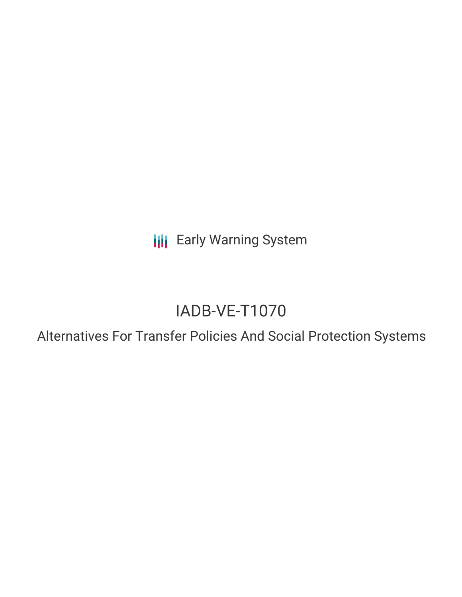**III** Early Warning System

# IADB-VE-T1070

Alternatives For Transfer Policies And Social Protection Systems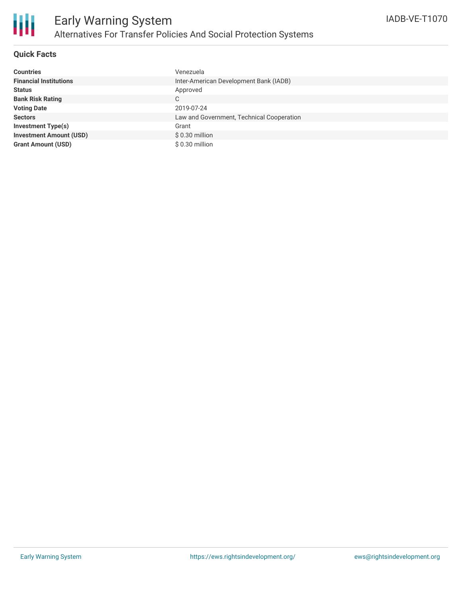

## **Quick Facts**

| <b>Countries</b>               | Venezuela                                 |
|--------------------------------|-------------------------------------------|
| <b>Financial Institutions</b>  | Inter-American Development Bank (IADB)    |
| <b>Status</b>                  | Approved                                  |
| <b>Bank Risk Rating</b>        | C                                         |
| <b>Voting Date</b>             | 2019-07-24                                |
| <b>Sectors</b>                 | Law and Government, Technical Cooperation |
| <b>Investment Type(s)</b>      | Grant                                     |
| <b>Investment Amount (USD)</b> | $$0.30$ million                           |
| <b>Grant Amount (USD)</b>      | $$0.30$ million                           |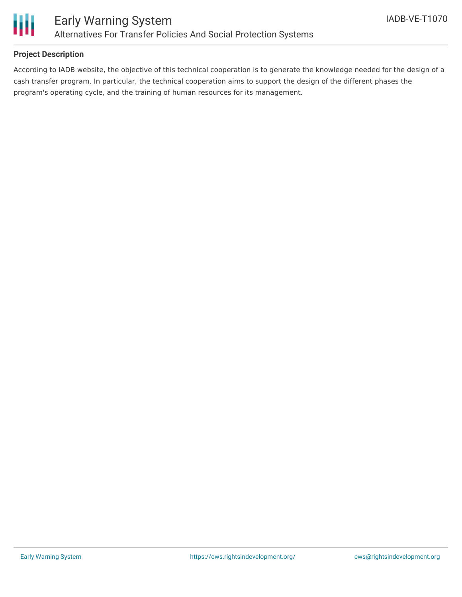

# **Project Description**

According to IADB website, the objective of this technical cooperation is to generate the knowledge needed for the design of a cash transfer program. In particular, the technical cooperation aims to support the design of the different phases the program's operating cycle, and the training of human resources for its management.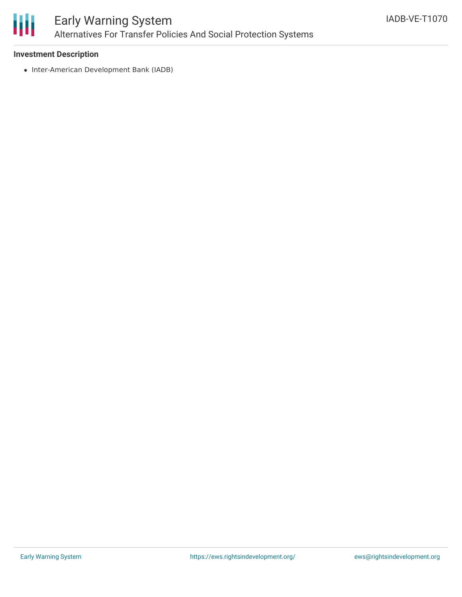

## **Investment Description**

• Inter-American Development Bank (IADB)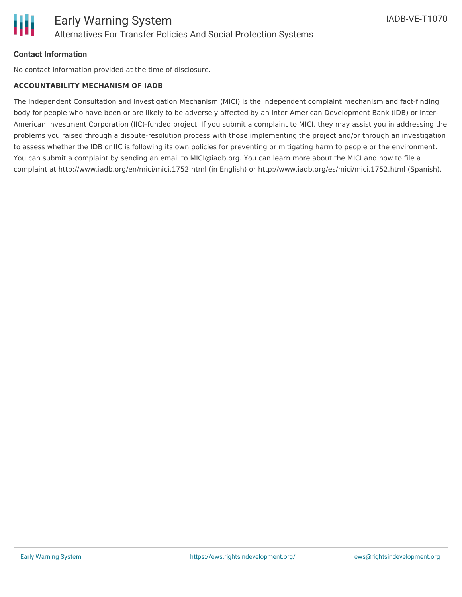

# **Contact Information**

No contact information provided at the time of disclosure.

#### **ACCOUNTABILITY MECHANISM OF IADB**

The Independent Consultation and Investigation Mechanism (MICI) is the independent complaint mechanism and fact-finding body for people who have been or are likely to be adversely affected by an Inter-American Development Bank (IDB) or Inter-American Investment Corporation (IIC)-funded project. If you submit a complaint to MICI, they may assist you in addressing the problems you raised through a dispute-resolution process with those implementing the project and/or through an investigation to assess whether the IDB or IIC is following its own policies for preventing or mitigating harm to people or the environment. You can submit a complaint by sending an email to MICI@iadb.org. You can learn more about the MICI and how to file a complaint at http://www.iadb.org/en/mici/mici,1752.html (in English) or http://www.iadb.org/es/mici/mici,1752.html (Spanish).